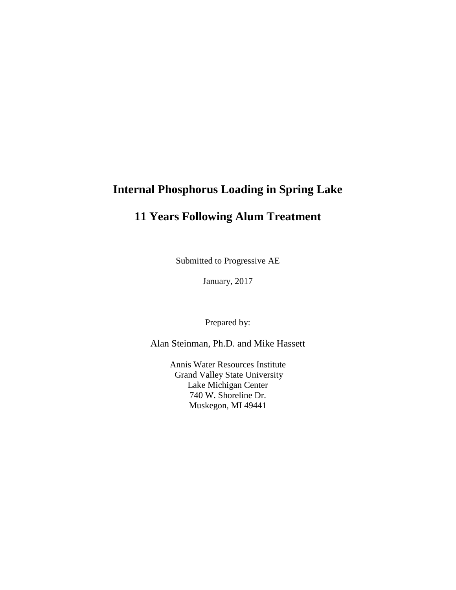## **Internal Phosphorus Loading in Spring Lake**

# **11 Years Following Alum Treatment**

Submitted to Progressive AE

January, 2017

Prepared by:

Alan Steinman, Ph.D. and Mike Hassett

Annis Water Resources Institute Grand Valley State University Lake Michigan Center 740 W. Shoreline Dr. Muskegon, MI 49441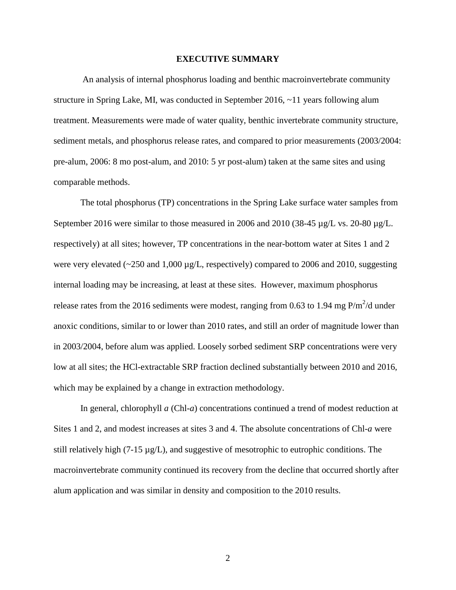#### **EXECUTIVE SUMMARY**

An analysis of internal phosphorus loading and benthic macroinvertebrate community structure in Spring Lake, MI, was conducted in September 2016,  $\sim$ 11 years following alum treatment. Measurements were made of water quality, benthic invertebrate community structure, sediment metals, and phosphorus release rates, and compared to prior measurements (2003/2004: pre-alum, 2006: 8 mo post-alum, and 2010: 5 yr post-alum) taken at the same sites and using comparable methods.

The total phosphorus (TP) concentrations in the Spring Lake surface water samples from September 2016 were similar to those measured in 2006 and 2010 (38-45 µg/L vs. 20-80 µg/L. respectively) at all sites; however, TP concentrations in the near-bottom water at Sites 1 and 2 were very elevated  $\left(\frac{250 \text{ and } 1,000 \text{ µg}}{L}\right)$ , respectively) compared to 2006 and 2010, suggesting internal loading may be increasing, at least at these sites. However, maximum phosphorus release rates from the 2016 sediments were modest, ranging from 0.63 to 1.94 mg  $P/m^2/d$  under anoxic conditions, similar to or lower than 2010 rates, and still an order of magnitude lower than in 2003/2004, before alum was applied. Loosely sorbed sediment SRP concentrations were very low at all sites; the HCl-extractable SRP fraction declined substantially between 2010 and 2016, which may be explained by a change in extraction methodology.

In general, chlorophyll *a* (Chl-*a*) concentrations continued a trend of modest reduction at Sites 1 and 2, and modest increases at sites 3 and 4. The absolute concentrations of Chl-*a* were still relatively high (7-15  $\mu$ g/L), and suggestive of mesotrophic to eutrophic conditions. The macroinvertebrate community continued its recovery from the decline that occurred shortly after alum application and was similar in density and composition to the 2010 results.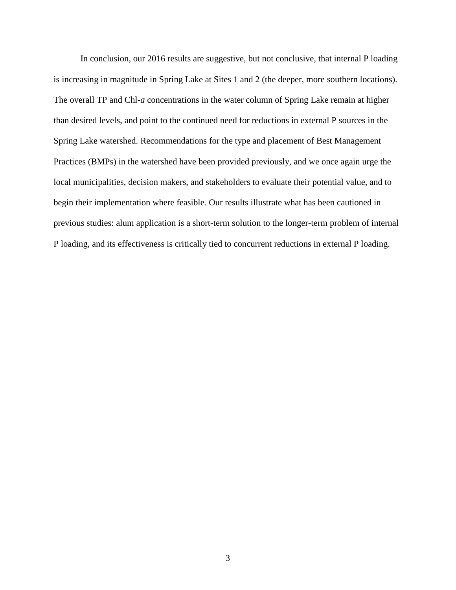In conclusion, our 2016 results are suggestive, but not conclusive, that internal P loading is increasing in magnitude in Spring Lake at Sites 1 and 2 (the deeper, more southern locations). The overall TP and Chl-*a* concentrations in the water column of Spring Lake remain at higher than desired levels, and point to the continued need for reductions in external P sources in the Spring Lake watershed. Recommendations for the type and placement of Best Management Practices (BMPs) in the watershed have been provided previously, and we once again urge the local municipalities, decision makers, and stakeholders to evaluate their potential value, and to begin their implementation where feasible. Our results illustrate what has been cautioned in previous studies: alum application is a short-term solution to the longer-term problem of internal P loading, and its effectiveness is critically tied to concurrent reductions in external P loading.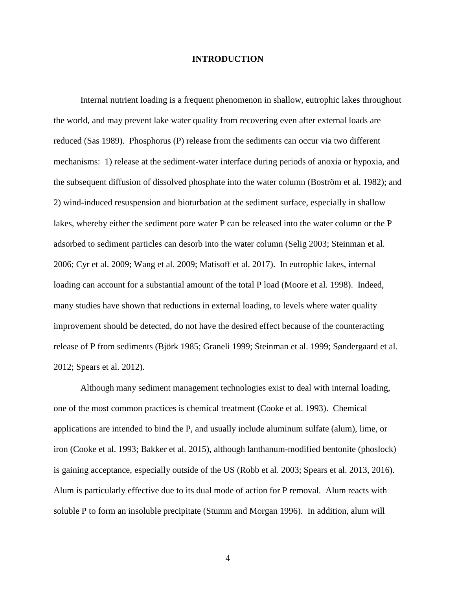### **INTRODUCTION**

Internal nutrient loading is a frequent phenomenon in shallow, eutrophic lakes throughout the world, and may prevent lake water quality from recovering even after external loads are reduced (Sas 1989). Phosphorus (P) release from the sediments can occur via two different mechanisms: 1) release at the sediment-water interface during periods of anoxia or hypoxia, and the subsequent diffusion of dissolved phosphate into the water column (Boström et al. 1982); and 2) wind-induced resuspension and bioturbation at the sediment surface, especially in shallow lakes, whereby either the sediment pore water P can be released into the water column or the P adsorbed to sediment particles can desorb into the water column (Selig 2003; Steinman et al. 2006; Cyr et al. 2009; Wang et al. 2009; Matisoff et al. 2017). In eutrophic lakes, internal loading can account for a substantial amount of the total P load (Moore et al. 1998). Indeed, many studies have shown that reductions in external loading, to levels where water quality improvement should be detected, do not have the desired effect because of the counteracting release of P from sediments (Björk 1985; Graneli 1999; Steinman et al. 1999; Søndergaard et al. 2012; Spears et al. 2012).

Although many sediment management technologies exist to deal with internal loading, one of the most common practices is chemical treatment (Cooke et al. 1993). Chemical applications are intended to bind the P, and usually include aluminum sulfate (alum), lime, or iron (Cooke et al. 1993; Bakker et al. 2015), although lanthanum-modified bentonite (phoslock) is gaining acceptance, especially outside of the US (Robb et al. 2003; Spears et al. 2013, 2016). Alum is particularly effective due to its dual mode of action for P removal. Alum reacts with soluble P to form an insoluble precipitate (Stumm and Morgan 1996). In addition, alum will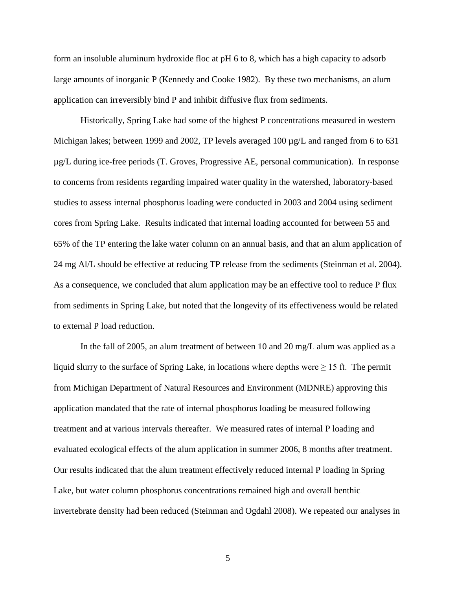form an insoluble aluminum hydroxide floc at pH 6 to 8, which has a high capacity to adsorb large amounts of inorganic P (Kennedy and Cooke 1982). By these two mechanisms, an alum application can irreversibly bind P and inhibit diffusive flux from sediments.

Historically, Spring Lake had some of the highest P concentrations measured in western Michigan lakes; between 1999 and 2002, TP levels averaged 100  $\mu$ g/L and ranged from 6 to 631 µg/L during ice-free periods (T. Groves, Progressive AE, personal communication). In response to concerns from residents regarding impaired water quality in the watershed, laboratory-based studies to assess internal phosphorus loading were conducted in 2003 and 2004 using sediment cores from Spring Lake. Results indicated that internal loading accounted for between 55 and 65% of the TP entering the lake water column on an annual basis, and that an alum application of 24 mg Al/L should be effective at reducing TP release from the sediments (Steinman et al. 2004). As a consequence, we concluded that alum application may be an effective tool to reduce P flux from sediments in Spring Lake, but noted that the longevity of its effectiveness would be related to external P load reduction.

In the fall of 2005, an alum treatment of between 10 and 20 mg/L alum was applied as a liquid slurry to the surface of Spring Lake, in locations where depths were  $\geq 15$  ft. The permit from Michigan Department of Natural Resources and Environment (MDNRE) approving this application mandated that the rate of internal phosphorus loading be measured following treatment and at various intervals thereafter. We measured rates of internal P loading and evaluated ecological effects of the alum application in summer 2006, 8 months after treatment. Our results indicated that the alum treatment effectively reduced internal P loading in Spring Lake, but water column phosphorus concentrations remained high and overall benthic invertebrate density had been reduced (Steinman and Ogdahl 2008). We repeated our analyses in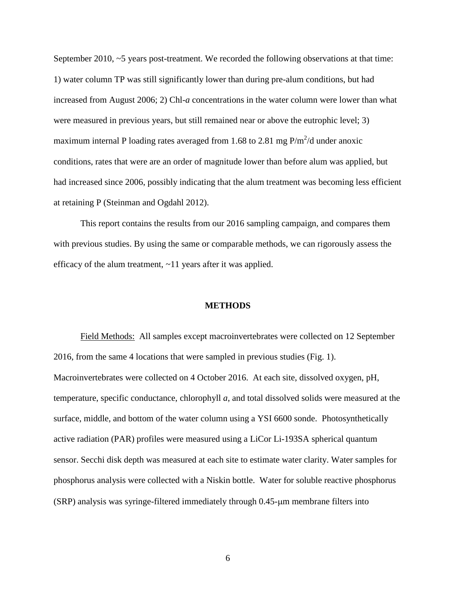September 2010, ~5 years post-treatment. We recorded the following observations at that time: 1) water column TP was still significantly lower than during pre-alum conditions, but had increased from August 2006; 2) Chl-*a* concentrations in the water column were lower than what were measured in previous years, but still remained near or above the eutrophic level; 3) maximum internal P loading rates averaged from 1.68 to 2.81 mg  $P/m^2/d$  under anoxic conditions, rates that were are an order of magnitude lower than before alum was applied, but had increased since 2006, possibly indicating that the alum treatment was becoming less efficient at retaining P (Steinman and Ogdahl 2012).

This report contains the results from our 2016 sampling campaign, and compares them with previous studies. By using the same or comparable methods, we can rigorously assess the efficacy of the alum treatment, ~11 years after it was applied.

#### **METHODS**

Field Methods: All samples except macroinvertebrates were collected on 12 September 2016, from the same 4 locations that were sampled in previous studies (Fig. 1). Macroinvertebrates were collected on 4 October 2016. At each site, dissolved oxygen, pH, temperature, specific conductance, chlorophyll *a*, and total dissolved solids were measured at the surface, middle, and bottom of the water column using a YSI 6600 sonde. Photosynthetically active radiation (PAR) profiles were measured using a LiCor Li-193SA spherical quantum sensor. Secchi disk depth was measured at each site to estimate water clarity. Water samples for phosphorus analysis were collected with a Niskin bottle. Water for soluble reactive phosphorus (SRP) analysis was syringe-filtered immediately through 0.45-µm membrane filters into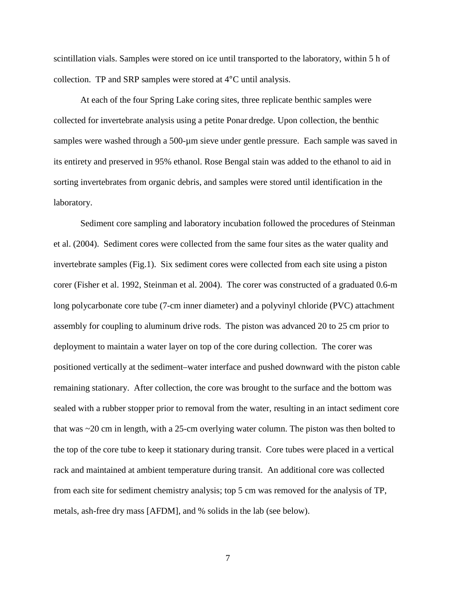scintillation vials. Samples were stored on ice until transported to the laboratory, within 5 h of collection. TP and SRP samples were stored at 4°C until analysis.

At each of the four Spring Lake coring sites, three replicate benthic samples were collected for invertebrate analysis using a petite Ponar dredge. Upon collection, the benthic samples were washed through a 500-µm sieve under gentle pressure. Each sample was saved in its entirety and preserved in 95% ethanol. Rose Bengal stain was added to the ethanol to aid in sorting invertebrates from organic debris, and samples were stored until identification in the laboratory.

Sediment core sampling and laboratory incubation followed the procedures of Steinman et al. (2004). Sediment cores were collected from the same four sites as the water quality and invertebrate samples (Fig.1). Six sediment cores were collected from each site using a piston corer (Fisher et al. 1992, Steinman et al. 2004). The corer was constructed of a graduated 0.6-m long polycarbonate core tube (7-cm inner diameter) and a polyvinyl chloride (PVC) attachment assembly for coupling to aluminum drive rods. The piston was advanced 20 to 25 cm prior to deployment to maintain a water layer on top of the core during collection. The corer was positioned vertically at the sediment–water interface and pushed downward with the piston cable remaining stationary. After collection, the core was brought to the surface and the bottom was sealed with a rubber stopper prior to removal from the water, resulting in an intact sediment core that was ~20 cm in length, with a 25-cm overlying water column. The piston was then bolted to the top of the core tube to keep it stationary during transit. Core tubes were placed in a vertical rack and maintained at ambient temperature during transit. An additional core was collected from each site for sediment chemistry analysis; top 5 cm was removed for the analysis of TP, metals, ash-free dry mass [AFDM], and % solids in the lab (see below).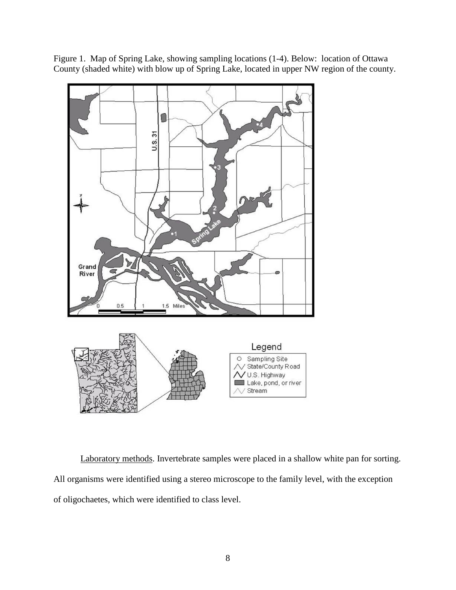



Laboratory methods. Invertebrate samples were placed in a shallow white pan for sorting. All organisms were identified using a stereo microscope to the family level, with the exception of oligochaetes, which were identified to class level.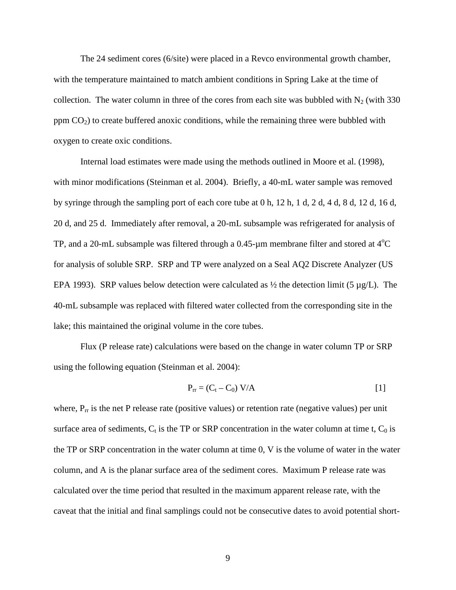The 24 sediment cores (6/site) were placed in a Revco environmental growth chamber, with the temperature maintained to match ambient conditions in Spring Lake at the time of collection. The water column in three of the cores from each site was bubbled with  $N_2$  (with 330 ppm  $CO<sub>2</sub>$ ) to create buffered anoxic conditions, while the remaining three were bubbled with oxygen to create oxic conditions.

Internal load estimates were made using the methods outlined in Moore et al. (1998), with minor modifications (Steinman et al. 2004). Briefly, a 40-mL water sample was removed by syringe through the sampling port of each core tube at 0 h, 12 h, 1 d, 2 d, 4 d, 8 d, 12 d, 16 d, 20 d, and 25 d. Immediately after removal, a 20-mL subsample was refrigerated for analysis of TP, and a 20-mL subsample was filtered through a  $0.45$ - $\mu$ m membrane filter and stored at 4<sup>o</sup>C for analysis of soluble SRP. SRP and TP were analyzed on a Seal AQ2 Discrete Analyzer (US EPA 1993). SRP values below detection were calculated as  $\frac{1}{2}$  the detection limit (5 µg/L). The 40-mL subsample was replaced with filtered water collected from the corresponding site in the lake; this maintained the original volume in the core tubes.

Flux (P release rate) calculations were based on the change in water column TP or SRP using the following equation (Steinman et al. 2004):

$$
P_{rr} = (C_t - C_0) V/A
$$
 [1]

where,  $P_{rr}$  is the net P release rate (positive values) or retention rate (negative values) per unit surface area of sediments,  $C_t$  is the TP or SRP concentration in the water column at time t,  $C_0$  is the TP or SRP concentration in the water column at time 0, V is the volume of water in the water column, and A is the planar surface area of the sediment cores. Maximum P release rate was calculated over the time period that resulted in the maximum apparent release rate, with the caveat that the initial and final samplings could not be consecutive dates to avoid potential short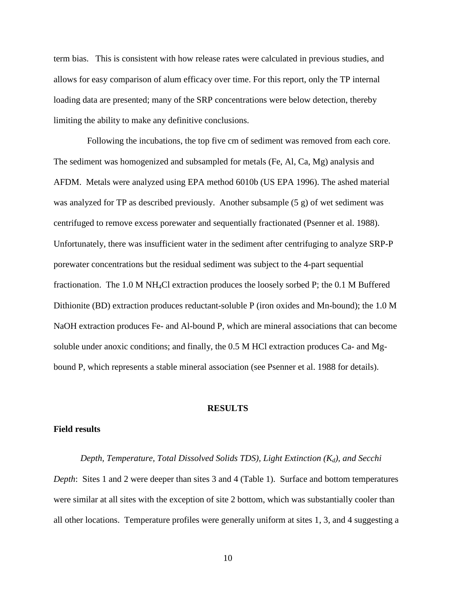term bias. This is consistent with how release rates were calculated in previous studies, and allows for easy comparison of alum efficacy over time. For this report, only the TP internal loading data are presented; many of the SRP concentrations were below detection, thereby limiting the ability to make any definitive conclusions.

Following the incubations, the top five cm of sediment was removed from each core. The sediment was homogenized and subsampled for metals (Fe, Al, Ca, Mg) analysis and AFDM. Metals were analyzed using EPA method 6010b (US EPA 1996). The ashed material was analyzed for TP as described previously. Another subsample (5 g) of wet sediment was centrifuged to remove excess porewater and sequentially fractionated (Psenner et al. 1988). Unfortunately, there was insufficient water in the sediment after centrifuging to analyze SRP-P porewater concentrations but the residual sediment was subject to the 4-part sequential fractionation. The 1.0 M NH4Cl extraction produces the loosely sorbed P; the 0.1 M Buffered Dithionite (BD) extraction produces reductant-soluble P (iron oxides and Mn-bound); the 1.0 M NaOH extraction produces Fe- and Al-bound P, which are mineral associations that can become soluble under anoxic conditions; and finally, the 0.5 M HCl extraction produces Ca- and Mgbound P, which represents a stable mineral association (see Psenner et al. 1988 for details).

#### **RESULTS**

#### **Field results**

*Depth, Temperature, Total Dissolved Solids TDS), Light Extinction (K<sub>d</sub>), and Secchi Depth*: Sites 1 and 2 were deeper than sites 3 and 4 (Table 1). Surface and bottom temperatures were similar at all sites with the exception of site 2 bottom, which was substantially cooler than all other locations. Temperature profiles were generally uniform at sites 1, 3, and 4 suggesting a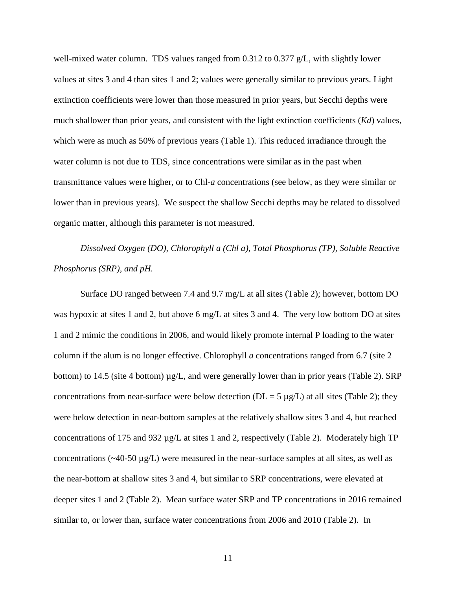well-mixed water column. TDS values ranged from 0.312 to 0.377 g/L, with slightly lower values at sites 3 and 4 than sites 1 and 2; values were generally similar to previous years. Light extinction coefficients were lower than those measured in prior years, but Secchi depths were much shallower than prior years, and consistent with the light extinction coefficients (*Kd*) values, which were as much as 50% of previous years (Table 1). This reduced irradiance through the water column is not due to TDS, since concentrations were similar as in the past when transmittance values were higher, or to Chl-*a* concentrations (see below, as they were similar or lower than in previous years). We suspect the shallow Secchi depths may be related to dissolved organic matter, although this parameter is not measured.

*Dissolved Oxygen (DO), Chlorophyll a (Chl a), Total Phosphorus (TP), Soluble Reactive Phosphorus (SRP), and pH.* 

Surface DO ranged between 7.4 and 9.7 mg/L at all sites (Table 2); however, bottom DO was hypoxic at sites 1 and 2, but above 6 mg/L at sites 3 and 4. The very low bottom DO at sites 1 and 2 mimic the conditions in 2006, and would likely promote internal P loading to the water column if the alum is no longer effective. Chlorophyll *a* concentrations ranged from 6.7 (site 2 bottom) to 14.5 (site 4 bottom) µg/L, and were generally lower than in prior years (Table 2). SRP concentrations from near-surface were below detection ( $DL = 5 \mu g/L$ ) at all sites (Table 2); they were below detection in near-bottom samples at the relatively shallow sites 3 and 4, but reached concentrations of 175 and 932 µg/L at sites 1 and 2, respectively (Table 2). Moderately high TP concentrations ( $\sim$ 40-50  $\mu$ g/L) were measured in the near-surface samples at all sites, as well as the near-bottom at shallow sites 3 and 4, but similar to SRP concentrations, were elevated at deeper sites 1 and 2 (Table 2). Mean surface water SRP and TP concentrations in 2016 remained similar to, or lower than, surface water concentrations from 2006 and 2010 (Table 2). In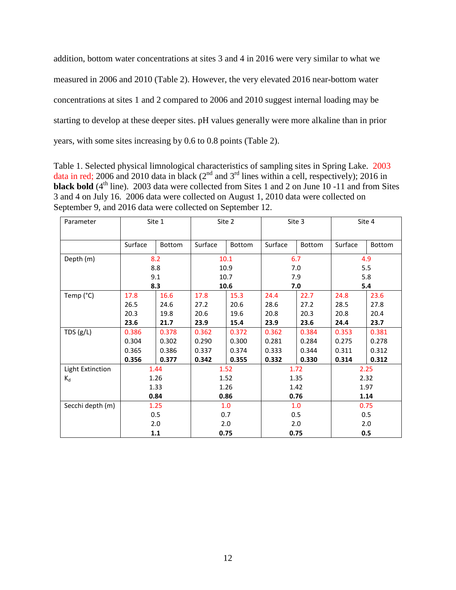addition, bottom water concentrations at sites 3 and 4 in 2016 were very similar to what we measured in 2006 and 2010 (Table 2). However, the very elevated 2016 near-bottom water concentrations at sites 1 and 2 compared to 2006 and 2010 suggest internal loading may be starting to develop at these deeper sites. pH values generally were more alkaline than in prior years, with some sites increasing by 0.6 to 0.8 points (Table 2).

Table 1. Selected physical limnological characteristics of sampling sites in Spring Lake. 2003 data in red; 2006 and 2010 data in black  $(2<sup>nd</sup>$  and  $3<sup>rd</sup>$  lines within a cell, respectively); 2016 in **black bold** (4<sup>th</sup> line). 2003 data were collected from Sites 1 and 2 on June 10 -11 and from Sites 3 and 4 on July 16. 2006 data were collected on August 1, 2010 data were collected on September 9, and 2016 data were collected on September 12.

| Parameter        | Site 1  |        | Site 2  |        | Site 3  |        | Site 4  |        |
|------------------|---------|--------|---------|--------|---------|--------|---------|--------|
|                  | Surface | Bottom | Surface | Bottom | Surface | Bottom | Surface | Bottom |
| Depth (m)        |         | 8.2    |         | 10.1   | 6.7     |        | 4.9     |        |
|                  |         | 8.8    |         | 10.9   | 7.0     |        | 5.5     |        |
|                  |         | 9.1    | 10.7    |        | 7.9     |        | 5.8     |        |
|                  |         | 8.3    | 10.6    |        | 7.0     |        | 5.4     |        |
| Temp (°C)        | 17.8    | 16.6   | 17.8    | 15.3   | 24.4    | 22.7   | 24.8    | 23.6   |
|                  | 26.5    | 24.6   | 27.2    | 20.6   | 28.6    | 27.2   | 28.5    | 27.8   |
|                  | 20.3    | 19.8   | 20.6    | 19.6   | 20.8    | 20.3   | 20.8    | 20.4   |
|                  | 23.6    | 21.7   | 23.9    | 15.4   | 23.9    | 23.6   | 24.4    | 23.7   |
| TDS $(g/L)$      | 0.386   | 0.378  | 0.362   | 0.372  | 0.362   | 0.384  | 0.353   | 0.381  |
|                  | 0.304   | 0.302  | 0.290   | 0.300  | 0.281   | 0.284  | 0.275   | 0.278  |
|                  | 0.365   | 0.386  | 0.337   | 0.374  | 0.333   | 0.344  | 0.311   | 0.312  |
|                  | 0.356   | 0.377  | 0.342   | 0.355  | 0.332   | 0.330  | 0.314   | 0.312  |
| Light Extinction |         | 1.44   | 1.52    |        | 1.72    |        | 2.25    |        |
| $K_d$            |         | 1.26   | 1.52    |        | 1.35    |        | 2.32    |        |
|                  |         | 1.33   | 1.26    |        | 1.42    |        | 1.97    |        |
|                  |         | 0.84   |         | 0.86   | 0.76    |        | 1.14    |        |
| Secchi depth (m) | 1.25    |        | 1.0     |        | 1.0     |        | 0.75    |        |
|                  | 0.5     |        | 0.7     |        | 0.5     |        | 0.5     |        |
|                  |         | 2.0    | 2.0     |        | 2.0     |        | 2.0     |        |
|                  | 1.1     |        | 0.75    |        | 0.75    |        | 0.5     |        |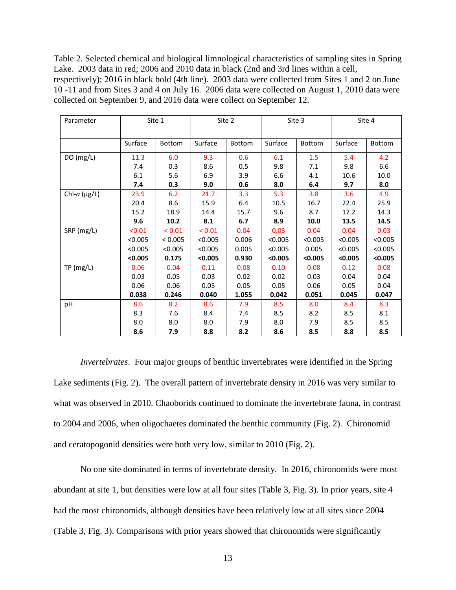Table 2. Selected chemical and biological limnological characteristics of sampling sites in Spring Lake. 2003 data in red; 2006 and 2010 data in black (2nd and 3rd lines within a cell,

respectively); 2016 in black bold (4th line). 2003 data were collected from Sites 1 and 2 on June 10 -11 and from Sites 3 and 4 on July 16. 2006 data were collected on August 1, 2010 data were collected on September 9, and 2016 data were collect on September 12.

| Parameter       | Site 1  |         | Site 2      |        | Site 3  |         | Site 4  |         |
|-----------------|---------|---------|-------------|--------|---------|---------|---------|---------|
|                 | Surface | Bottom  | Surface     | Bottom | Surface | Bottom  | Surface | Bottom  |
| DO (mg/L)       | 11.3    | 6.0     | 9.3         | 0.6    | 6.1     | 1.5     | 5.4     | 4.2     |
|                 | 7.4     | 0.3     | 8.6         | 0.5    | 9.8     | 7.1     | 9.8     | 6.6     |
|                 | 6.1     | 5.6     | 6.9         | 3.9    | 6.6     | 4.1     | 10.6    | 10.0    |
|                 | 7.4     | 0.3     | 9.0         | 0.6    | 8.0     | 6.4     | 9.7     | 8.0     |
| Chl- $a$ (µg/L) | 23.9    | 6.2     | 21.7        | 3.3    | 5.3     | 3.8     | 3.6     | 4.9     |
|                 | 20.4    | 8.6     | 15.9        | 6.4    | 10.5    | 16.7    | 22.4    | 25.9    |
|                 | 15.2    | 18.9    | 14.4        | 15.7   | 9.6     | 8.7     | 17.2    | 14.3    |
|                 | 9.6     | 10.2    | 8.1         | 6.7    | 8.9     | 10.0    | 13.5    | 14.5    |
| SRP (mg/L)      | < 0.01  | < 0.01  | ${}_{0.01}$ | 0.04   | 0.03    | 0.04    | 0.04    | 0.03    |
|                 | < 0.005 | < 0.005 | < 0.005     | 0.006  | < 0.005 | < 0.005 | < 0.005 | < 0.005 |
|                 | < 0.005 | < 0.005 | < 0.005     | 0.005  | < 0.005 | 0.005   | < 0.005 | < 0.005 |
|                 | < 0.005 | 0.175   | < 0.005     | 0.930  | < 0.005 | < 0.005 | < 0.005 | < 0.005 |
| TP(mg/L)        | 0.06    | 0.04    | 0.11        | 0.08   | 0.10    | 0.08    | 0.12    | 0.08    |
|                 | 0.03    | 0.05    | 0.03        | 0.02   | 0.02    | 0.03    | 0.04    | 0.04    |
|                 | 0.06    | 0.06    | 0.05        | 0.05   | 0.05    | 0.06    | 0.05    | 0.04    |
|                 | 0.038   | 0.246   | 0.040       | 1.055  | 0.042   | 0.051   | 0.045   | 0.047   |
| pH              | 8.6     | 8.2     | 8.6         | 7.9    | 8.5     | 8.0     | 8.4     | 8.3     |
|                 | 8.3     | 7.6     | 8.4         | 7.4    | 8.5     | 8.2     | 8.5     | 8.1     |
|                 | 8.0     | 8.0     | 8.0         | 7.9    | 8.0     | 7.9     | 8.5     | 8.5     |
|                 | 8.6     | 7.9     | 8.8         | 8.2    | 8.6     | 8.5     | 8.8     | 8.5     |

*Invertebrates*. Four major groups of benthic invertebrates were identified in the Spring Lake sediments (Fig. 2). The overall pattern of invertebrate density in 2016 was very similar to what was observed in 2010. Chaoborids continued to dominate the invertebrate fauna, in contrast to 2004 and 2006, when oligochaetes dominated the benthic community (Fig. 2). Chironomid and ceratopogonid densities were both very low, similar to 2010 (Fig. 2).

No one site dominated in terms of invertebrate density. In 2016, chironomids were most abundant at site 1, but densities were low at all four sites (Table 3, Fig. 3). In prior years, site 4 had the most chironomids, although densities have been relatively low at all sites since 2004 (Table 3, Fig. 3). Comparisons with prior years showed that chironomids were significantly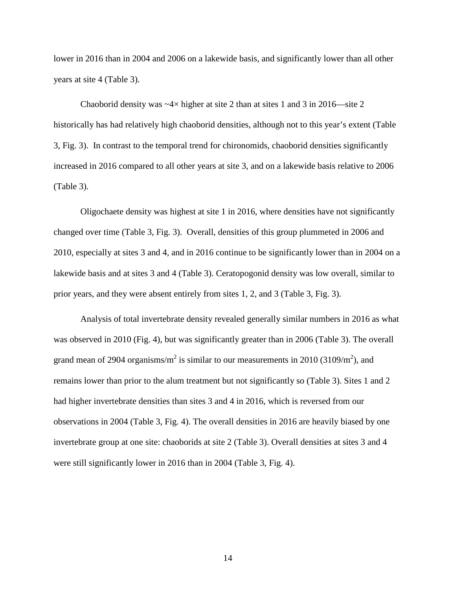lower in 2016 than in 2004 and 2006 on a lakewide basis, and significantly lower than all other years at site 4 (Table 3).

Chaoborid density was  $-4\times$  higher at site 2 than at sites 1 and 3 in 2016—site 2 historically has had relatively high chaoborid densities, although not to this year's extent (Table 3, Fig. 3). In contrast to the temporal trend for chironomids, chaoborid densities significantly increased in 2016 compared to all other years at site 3, and on a lakewide basis relative to 2006 (Table 3).

Oligochaete density was highest at site 1 in 2016, where densities have not significantly changed over time (Table 3, Fig. 3). Overall, densities of this group plummeted in 2006 and 2010, especially at sites 3 and 4, and in 2016 continue to be significantly lower than in 2004 on a lakewide basis and at sites 3 and 4 (Table 3). Ceratopogonid density was low overall, similar to prior years, and they were absent entirely from sites 1, 2, and 3 (Table 3, Fig. 3).

Analysis of total invertebrate density revealed generally similar numbers in 2016 as what was observed in 2010 (Fig. 4), but was significantly greater than in 2006 (Table 3). The overall grand mean of 2904 organisms/ $m^2$  is similar to our measurements in 2010 (3109/ $m^2$ ), and remains lower than prior to the alum treatment but not significantly so (Table 3). Sites 1 and 2 had higher invertebrate densities than sites 3 and 4 in 2016, which is reversed from our observations in 2004 (Table 3, Fig. 4). The overall densities in 2016 are heavily biased by one invertebrate group at one site: chaoborids at site 2 (Table 3). Overall densities at sites 3 and 4 were still significantly lower in 2016 than in 2004 (Table 3, Fig. 4).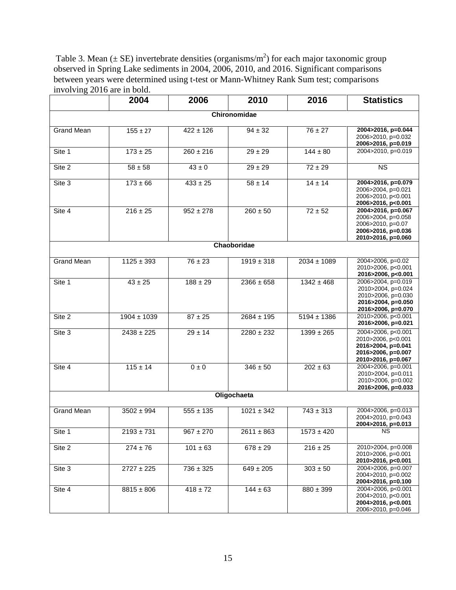Table 3. Mean ( $\pm$  SE) invertebrate densities (organisms/m<sup>2</sup>) for each major taxonomic group observed in Spring Lake sediments in 2004, 2006, 2010, and 2016. Significant comparisons between years were determined using t-test or Mann-Whitney Rank Sum test; comparisons involving 2016 are in bold.

|                   | 2004            | 2006          | 2010                      | 2016            | <b>Statistics</b>                                                                                          |  |  |  |  |
|-------------------|-----------------|---------------|---------------------------|-----------------|------------------------------------------------------------------------------------------------------------|--|--|--|--|
| Chironomidae      |                 |               |                           |                 |                                                                                                            |  |  |  |  |
| <b>Grand Mean</b> | $155 \pm 27$    | $422 \pm 126$ | $94 \pm 32$               | $76 \pm 27$     | 2004>2016, p=0.044<br>2006>2010, p=0.032<br>2006>2016, p=0.019                                             |  |  |  |  |
| Site 1            | $173 \pm 25$    | $260 \pm 216$ | $29 \pm 29$               | $144 \pm 80$    | 2004>2010, p=0.019                                                                                         |  |  |  |  |
| Site 2            | $58 \pm 58$     | $43 \pm 0$    | $29 \pm 29$               | $72 \pm 29$     | <b>NS</b>                                                                                                  |  |  |  |  |
| Site 3            | $173 \pm 66$    | $433 \pm 25$  | $58 \pm 14$               | $14 \pm 14$     | 2004>2016, p=0.079<br>2006>2004, p=0.021<br>2006>2010, p<0.001<br>2006>2016, p<0.001                       |  |  |  |  |
| Site 4            | $216 \pm 25$    | $952 \pm 278$ | $260 \pm 50$              | $72 \pm 52$     | 2004>2016, p=0.067<br>2006>2004, p=0.058<br>2006>2010, p=0.07<br>2006>2016, p=0.036<br>2010>2016, p=0.060  |  |  |  |  |
|                   |                 |               | Chaoboridae               |                 |                                                                                                            |  |  |  |  |
| <b>Grand Mean</b> | $1125 \pm 393$  | $76 \pm 23$   | $\overline{1919} \pm 318$ | $2034 \pm 1089$ | 2004>2006, p=0.02<br>2010>2006, p<0.001<br>2016>2006, p<0.001                                              |  |  |  |  |
| Site 1            | $43 \pm 25$     | $188 \pm 29$  | $2366 \pm 658$            | $1342 \pm 468$  | 2006>2004, p=0.019<br>2010>2004, p=0.024<br>2010>2006, p=0.030<br>2016>2004, p=0.050<br>2016>2006, p=0.070 |  |  |  |  |
| Site 2            | $1904 \pm 1039$ | $87 \pm 25$   | $2684 \pm 195$            | $5194 \pm 1386$ | 2010>2006, p<0.001<br>2016>2006, p=0.021                                                                   |  |  |  |  |
| Site 3            | $2438 \pm 225$  | $29 \pm 14$   | $2280 \pm 232$            | $1399 \pm 265$  | 2004>2006, p<0.001<br>2010>2006, p<0.001<br>2016>2004, p=0.041<br>2016>2006, p=0.007<br>2010>2016, p=0.067 |  |  |  |  |
| Site 4            | $115 \pm 14$    | $0 \pm 0$     | $346 \pm 50$              | $202 \pm 63$    | 2004>2006, p=0.001<br>2010>2004, p=0.011<br>2010>2006, p=0.002<br>2016>2006, p=0.033                       |  |  |  |  |
|                   |                 |               | Oligochaeta               |                 |                                                                                                            |  |  |  |  |
| <b>Grand Mean</b> | $3502 \pm 994$  | $555 \pm 135$ | $1021 \pm 342$            | $743 \pm 313$   | 2004>2006, p=0.013<br>2004>2010, p=0.043<br>2004>2016, p=0.013                                             |  |  |  |  |
| Site 1            | $2193 \pm 731$  | $967 \pm 270$ | $2611 \pm 863$            | $1573 \pm 420$  | <b>NS</b>                                                                                                  |  |  |  |  |
| Site 2            | $274 \pm 76$    | $101 \pm 63$  | $678 \pm 29$              | $216 \pm 25$    | 2010>2004, p=0.008<br>2010>2006, p=0.001<br>2010>2016, p<0.001                                             |  |  |  |  |
| Site 3            | $2727 \pm 225$  | $736 \pm 325$ | $649 \pm 205$             | $303 \pm 50$    | 2004>2006, p=0.007<br>2004>2010, p=0.002<br>2004>2016, p=0.100                                             |  |  |  |  |
| Site 4            | $8815 \pm 806$  | $418 \pm 72$  | $144 \pm 63$              | $880 \pm 399$   | 2004>2006, p<0.001<br>2004>2010, p<0.001<br>2004>2016, p<0.001<br>2006>2010, p=0.046                       |  |  |  |  |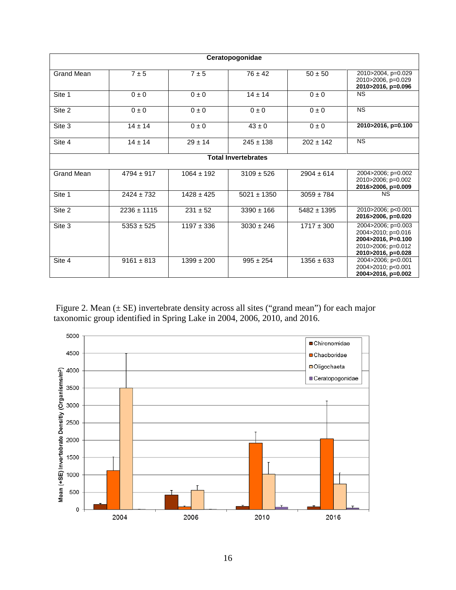| Ceratopogonidae   |                            |                |                 |                 |                                                                                                            |  |  |  |
|-------------------|----------------------------|----------------|-----------------|-----------------|------------------------------------------------------------------------------------------------------------|--|--|--|
| <b>Grand Mean</b> | 7±5                        | 7±5            | $76 \pm 42$     | $50 \pm 50$     | 2010>2004, p=0.029<br>2010>2006, p=0.029<br>2010>2016, p=0.096                                             |  |  |  |
| Site 1            | $0 \pm 0$                  | $0 \pm 0$      | $14 \pm 14$     | $0 \pm 0$       | <b>NS</b>                                                                                                  |  |  |  |
| Site 2            | $0 \pm 0$                  | $0 \pm 0$      | $0 \pm 0$       | $0 \pm 0$       | <b>NS</b>                                                                                                  |  |  |  |
| Site 3            | $14 \pm 14$                | $0 \pm 0$      | $43 \pm 0$      | $0 \pm 0$       | 2010>2016, p=0.100                                                                                         |  |  |  |
| Site 4            | $14 \pm 14$                | $29 \pm 14$    | $245 \pm 138$   | $202 \pm 142$   | <b>NS</b>                                                                                                  |  |  |  |
|                   | <b>Total Invertebrates</b> |                |                 |                 |                                                                                                            |  |  |  |
| Grand Mean        | $4794 \pm 917$             | $1064 \pm 192$ | $3109 \pm 526$  | $2904 \pm 614$  | 2004>2006; p=0.002<br>2010>2006; p=0.002<br>2016>2006, p=0.009                                             |  |  |  |
| Site 1            | $2424 \pm 732$             | $1428 \pm 425$ | $5021 \pm 1350$ | $3059 \pm 784$  | <b>NS</b>                                                                                                  |  |  |  |
| Site 2            | $2236 \pm 1115$            | $231 \pm 52$   | $3390 \pm 166$  | $5482 \pm 1395$ | 2010>2006; p<0.001<br>2016>2006, p=0.020                                                                   |  |  |  |
| Site 3            | $5353 \pm 525$             | $1197 \pm 336$ | $3030 \pm 246$  | $1717 \pm 300$  | 2004>2006; p=0.003<br>2004>2010; p=0.016<br>2004>2016, P=0.100<br>2010>2006; p=0.012<br>2010>2016, p=0.028 |  |  |  |
| Site 4            | $9161 \pm 813$             | $1399 \pm 200$ | $995 \pm 254$   | $1356 \pm 633$  | 2004>2006; p<0.001<br>2004>2010; p<0.001<br>2004>2016, p=0.002                                             |  |  |  |

Figure 2. Mean (± SE) invertebrate density across all sites ("grand mean") for each major taxonomic group identified in Spring Lake in 2004, 2006, 2010, and 2016.

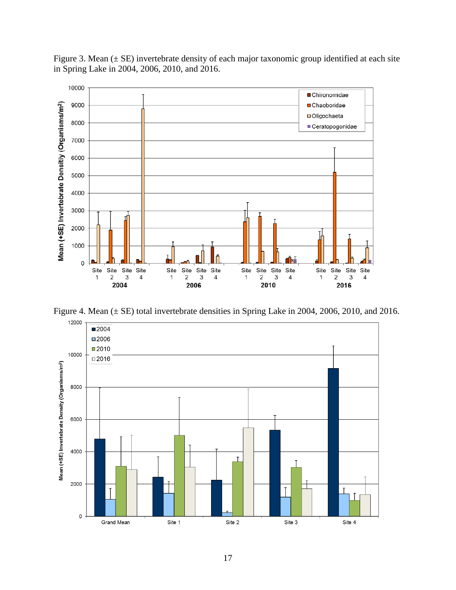Figure 3. Mean  $(\pm S E)$  invertebrate density of each major taxonomic group identified at each site in Spring Lake in 2004, 2006, 2010, and 2016.



Figure 4. Mean (± SE) total invertebrate densities in Spring Lake in 2004, 2006, 2010, and 2016.

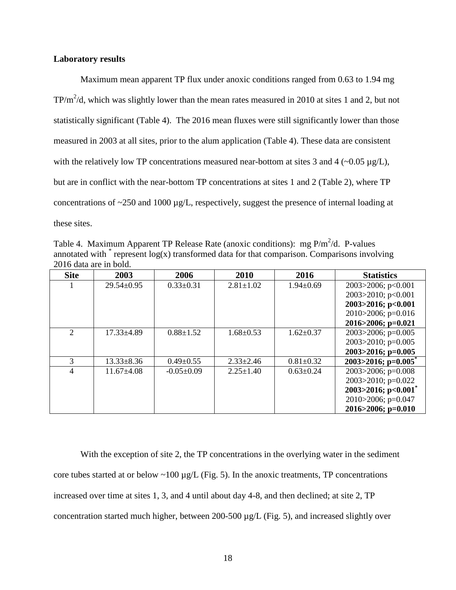## **Laboratory results**

Maximum mean apparent TP flux under anoxic conditions ranged from 0.63 to 1.94 mg TP/m<sup>2</sup>/d, which was slightly lower than the mean rates measured in 2010 at sites 1 and 2, but not statistically significant (Table 4). The 2016 mean fluxes were still significantly lower than those measured in 2003 at all sites, prior to the alum application (Table 4). These data are consistent with the relatively low TP concentrations measured near-bottom at sites 3 and 4  $(-0.05 \mu g/L)$ , but are in conflict with the near-bottom TP concentrations at sites 1 and 2 (Table 2), where TP concentrations of ~250 and 1000 µg/L, respectively, suggest the presence of internal loading at these sites.

Table 4. Maximum Apparent TP Release Rate (anoxic conditions): mg  $P/m^2/d$ . P-values annotated with  $*$  represent  $log(x)$  transformed data for that comparison. Comparisons involving 2016 data are in bold.

| <b>Site</b>                 | 2003             | 2006            | 2010            | 2016            | <b>Statistics</b>                    |
|-----------------------------|------------------|-----------------|-----------------|-----------------|--------------------------------------|
|                             | $29.54 \pm 0.95$ | $0.33 \pm 0.31$ | $2.81 \pm 1.02$ | $1.94 \pm 0.69$ | 2003 $>$ 2006; p<0.001               |
|                             |                  |                 |                 |                 | 2003>2010; $p<0.001$                 |
|                             |                  |                 |                 |                 | 2003>2016; p<0.001                   |
|                             |                  |                 |                 |                 | $2010 > 2006$ ; p=0.016              |
|                             |                  |                 |                 |                 | $2016 > 2006$ ; p=0.021              |
| $\mathcal{D}_{\mathcal{L}}$ | $17.33 \pm 4.89$ | $0.88 \pm 1.52$ | $1.68 \pm 0.53$ | $1.62 \pm 0.37$ | $2003 > 2006$ ; p=0.005              |
|                             |                  |                 |                 |                 | 2003 $>$ 2010; p=0.005               |
|                             |                  |                 |                 |                 | $2003 > 2016$ ; p=0.005              |
| 3                           | $13.33 \pm 8.36$ | $0.49 \pm 0.55$ | $2.33 \pm 2.46$ | $0.81 \pm 0.32$ | $2003 > 2016$ ; p=0.005 <sup>*</sup> |
| 4                           | $11.67 \pm 4.08$ | $-0.05+0.09$    | $2.25 \pm 1.40$ | $0.63 \pm 0.24$ | $2003 > 2006$ ; p=0.008              |
|                             |                  |                 |                 |                 | 2003 $>$ 2010; p=0.022               |
|                             |                  |                 |                 |                 | 2003>2016; $p<0.001$ <sup>*</sup>    |
|                             |                  |                 |                 |                 | 2010 $>$ 2006; p=0.047               |
|                             |                  |                 |                 |                 | 2016>2006; p=0.010                   |

With the exception of site 2, the TP concentrations in the overlying water in the sediment core tubes started at or below  $\sim$ 100 µg/L (Fig. 5). In the anoxic treatments, TP concentrations increased over time at sites 1, 3, and 4 until about day 4-8, and then declined; at site 2, TP concentration started much higher, between 200-500 µg/L (Fig. 5), and increased slightly over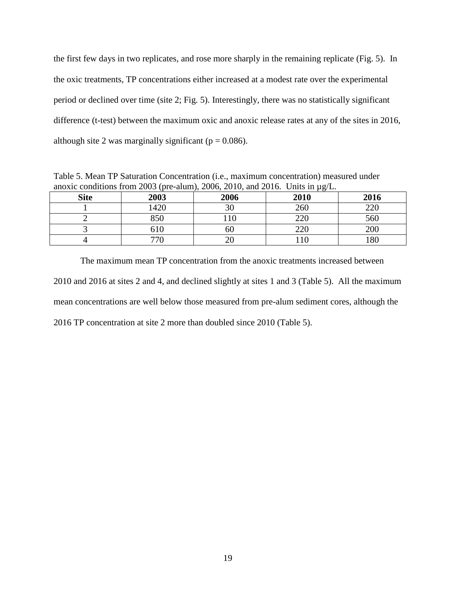the first few days in two replicates, and rose more sharply in the remaining replicate (Fig. 5). In the oxic treatments, TP concentrations either increased at a modest rate over the experimental period or declined over time (site 2; Fig. 5). Interestingly, there was no statistically significant difference (t-test) between the maximum oxic and anoxic release rates at any of the sites in 2016, although site 2 was marginally significant ( $p = 0.086$ ).

Table 5. Mean TP Saturation Concentration (i.e., maximum concentration) measured under anoxic conditions from 2003 (pre-alum), 2006, 2010, and 2016. Units in µg/L.

| <b>Site</b> | 2003 | 2006 | . c<br>2010 | 2016 |
|-------------|------|------|-------------|------|
|             | 1420 | nη   | 260         | 220  |
|             | 850  | 10   | 220         | 560  |
|             | 610  | 60   | 220         | 200  |
|             | 770  | ∠∪   | 10          | 180  |

The maximum mean TP concentration from the anoxic treatments increased between 2010 and 2016 at sites 2 and 4, and declined slightly at sites 1 and 3 (Table 5). All the maximum mean concentrations are well below those measured from pre-alum sediment cores, although the 2016 TP concentration at site 2 more than doubled since 2010 (Table 5).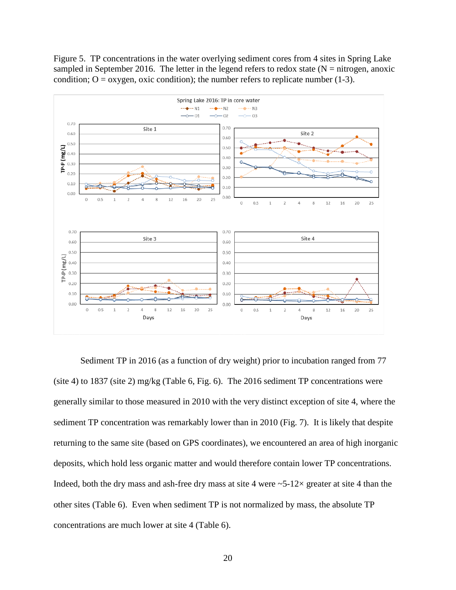Figure 5. TP concentrations in the water overlying sediment cores from 4 sites in Spring Lake sampled in September 2016. The letter in the legend refers to redox state ( $N =$  nitrogen, anoxic condition;  $O = \alpha$ ygen, oxic condition); the number refers to replicate number (1-3).



Sediment TP in 2016 (as a function of dry weight) prior to incubation ranged from 77 (site 4) to 1837 (site 2) mg/kg (Table 6, Fig. 6). The 2016 sediment TP concentrations were generally similar to those measured in 2010 with the very distinct exception of site 4, where the sediment TP concentration was remarkably lower than in 2010 (Fig. 7). It is likely that despite returning to the same site (based on GPS coordinates), we encountered an area of high inorganic deposits, which hold less organic matter and would therefore contain lower TP concentrations. Indeed, both the dry mass and ash-free dry mass at site 4 were  $\sim$  5-12 $\times$  greater at site 4 than the other sites (Table 6). Even when sediment TP is not normalized by mass, the absolute TP concentrations are much lower at site 4 (Table 6).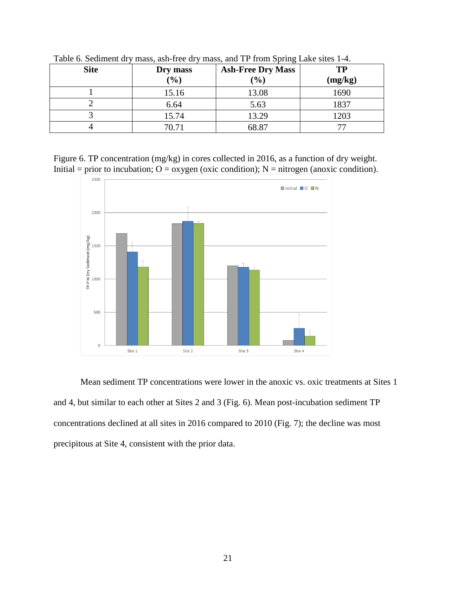| <b>Site</b> | Dry mass | <b>Ash-Free Dry Mass</b> | TP      |
|-------------|----------|--------------------------|---------|
|             | (%)      | (0/0)                    | (mg/kg) |
|             | 15.16    | 13.08                    | 1690    |
|             | 6.64     | 5.63                     | 1837    |
|             | 15.74    | 13.29                    | 1203    |
|             | 70.71    | 68.87                    |         |

Table 6. Sediment dry mass, ash-free dry mass, and TP from Spring Lake sites 1-4.

Figure 6. TP concentration (mg/kg) in cores collected in 2016, as a function of dry weight. Initial = prior to incubation;  $O = \alpha$ ygen (oxic condition); N = nitrogen (anoxic condition).

![](_page_20_Figure_3.jpeg)

Mean sediment TP concentrations were lower in the anoxic vs. oxic treatments at Sites 1 and 4, but similar to each other at Sites 2 and 3 (Fig. 6). Mean post-incubation sediment TP concentrations declined at all sites in 2016 compared to 2010 (Fig. 7); the decline was most precipitous at Site 4, consistent with the prior data.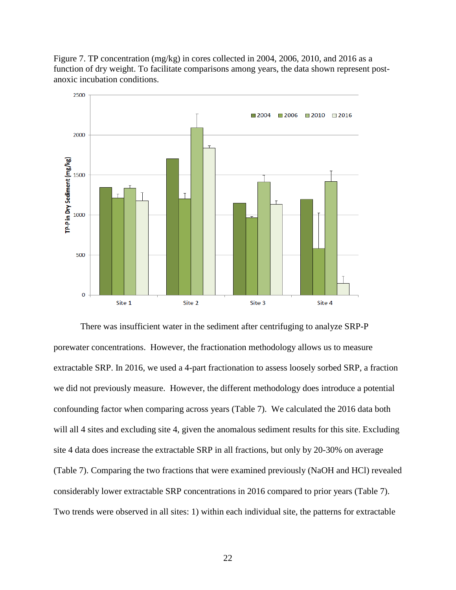Figure 7. TP concentration ( $mg/kg$ ) in cores collected in 2004, 2006, 2010, and 2016 as a function of dry weight. To facilitate comparisons among years, the data shown represent postanoxic incubation conditions.

![](_page_21_Figure_1.jpeg)

There was insufficient water in the sediment after centrifuging to analyze SRP-P porewater concentrations. However, the fractionation methodology allows us to measure extractable SRP. In 2016, we used a 4-part fractionation to assess loosely sorbed SRP, a fraction we did not previously measure. However, the different methodology does introduce a potential confounding factor when comparing across years (Table 7). We calculated the 2016 data both will all 4 sites and excluding site 4, given the anomalous sediment results for this site. Excluding site 4 data does increase the extractable SRP in all fractions, but only by 20-30% on average (Table 7). Comparing the two fractions that were examined previously (NaOH and HCl) revealed considerably lower extractable SRP concentrations in 2016 compared to prior years (Table 7). Two trends were observed in all sites: 1) within each individual site, the patterns for extractable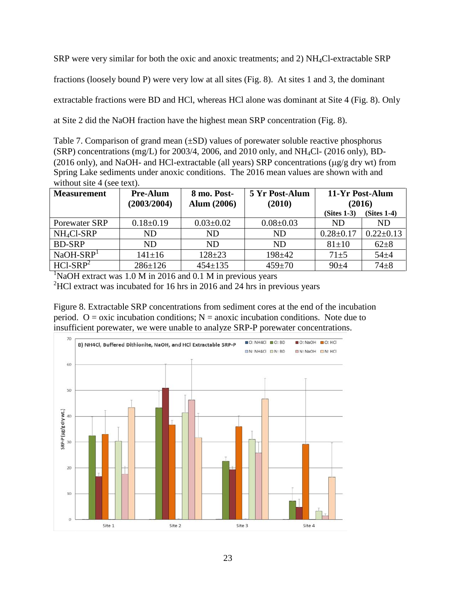SRP were very similar for both the oxic and anoxic treatments; and 2) NH4Cl-extractable SRP

fractions (loosely bound P) were very low at all sites (Fig. 8). At sites 1 and 3, the dominant

extractable fractions were BD and HCl, whereas HCl alone was dominant at Site 4 (Fig. 8). Only

at Site 2 did the NaOH fraction have the highest mean SRP concentration (Fig. 8).

Table 7. Comparison of grand mean  $(\pm SD)$  values of porewater soluble reactive phosphorus (SRP) concentrations (mg/L) for 2003/4, 2006, and 2010 only, and NH4Cl- (2016 only), BD- (2016 only), and NaOH- and HCl-extractable (all years) SRP concentrations (µg/g dry wt) from Spring Lake sediments under anoxic conditions. The 2016 mean values are shown with and without site 4 (see text).

| <b>Measurement</b>     | <b>Pre-Alum</b><br>(2003/2004) | 8 mo. Post-<br><b>Alum</b> (2006) | 5 Yr Post-Alum<br>(2010) | 11-Yr Post-Alum<br>(2016) |                 |
|------------------------|--------------------------------|-----------------------------------|--------------------------|---------------------------|-----------------|
|                        |                                |                                   |                          | $(Stes 1-3)$              | $(Stes 1-4)$    |
| Porewater SRP          | $0.18 \pm 0.19$                | $0.03 \pm 0.02$                   | $0.08 \pm 0.03$          | ND.                       | <b>ND</b>       |
| NH <sub>4</sub> Cl-SRP | ND.                            | ND.                               | ND                       | $0.28 \pm 0.17$           | $0.22 \pm 0.13$ |
| <b>BD-SRP</b>          | ND                             | ND.                               | ND.                      | $81 \pm 10$               | $62+8$          |
| $NaOH-SRP1$            | $141 \pm 16$                   | $128 + 23$                        | $198 + 42$               | $71 + 5$                  | $54 + 4$        |
| $HC1-SRP2$             | $286 \pm 126$                  | $454 \pm 135$                     | $459 \pm 70$             | $90 + 4$                  | $74 + 8$        |

<sup>1</sup>NaOH extract was 1.0 M in 2016 and 0.1 M in previous years  $^{2}$ HCl extract was incubated for 16 hrs in 2016 and 24 hrs in previous years

Figure 8. Extractable SRP concentrations from sediment cores at the end of the incubation period.  $O = \alpha$  incubation conditions;  $N = \alpha$  anoxic incubation conditions. Note due to insufficient porewater, we were unable to analyze SRP-P porewater concentrations.

![](_page_22_Figure_8.jpeg)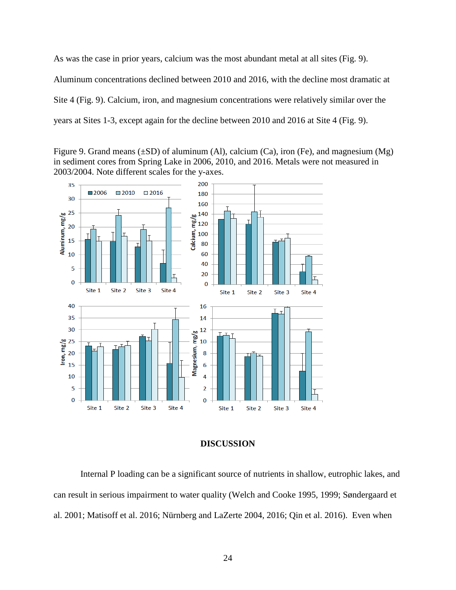As was the case in prior years, calcium was the most abundant metal at all sites (Fig. 9). Aluminum concentrations declined between 2010 and 2016, with the decline most dramatic at Site 4 (Fig. 9). Calcium, iron, and magnesium concentrations were relatively similar over the years at Sites 1-3, except again for the decline between 2010 and 2016 at Site 4 (Fig. 9).

Figure 9. Grand means  $(\pm SD)$  of aluminum (Al), calcium (Ca), iron (Fe), and magnesium (Mg) in sediment cores from Spring Lake in 2006, 2010, and 2016. Metals were not measured in 2003/2004. Note different scales for the y-axes.

![](_page_23_Figure_2.jpeg)

## **DISCUSSION**

Internal P loading can be a significant source of nutrients in shallow, eutrophic lakes, and can result in serious impairment to water quality (Welch and Cooke 1995, 1999; Søndergaard et al. 2001; Matisoff et al. 2016; Nürnberg and LaZerte 2004, 2016; Qin et al. 2016). Even when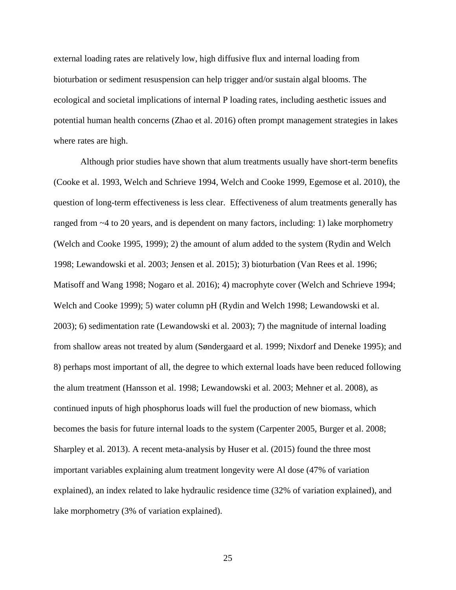external loading rates are relatively low, high diffusive flux and internal loading from bioturbation or sediment resuspension can help trigger and/or sustain algal blooms. The ecological and societal implications of internal P loading rates, including aesthetic issues and potential human health concerns (Zhao et al. 2016) often prompt management strategies in lakes where rates are high.

Although prior studies have shown that alum treatments usually have short-term benefits (Cooke et al. 1993, Welch and Schrieve 1994, Welch and Cooke 1999, Egemose et al. 2010), the question of long-term effectiveness is less clear. Effectiveness of alum treatments generally has ranged from ~4 to 20 years, and is dependent on many factors, including: 1) lake morphometry (Welch and Cooke 1995, 1999); 2) the amount of alum added to the system (Rydin and Welch 1998; Lewandowski et al. 2003; Jensen et al. 2015); 3) bioturbation (Van Rees et al. 1996; Matisoff and Wang 1998; Nogaro et al. 2016); 4) macrophyte cover (Welch and Schrieve 1994; Welch and Cooke 1999); 5) water column pH (Rydin and Welch 1998; Lewandowski et al. 2003); 6) sedimentation rate (Lewandowski et al. 2003); 7) the magnitude of internal loading from shallow areas not treated by alum (Søndergaard et al. 1999; Nixdorf and Deneke 1995); and 8) perhaps most important of all, the degree to which external loads have been reduced following the alum treatment (Hansson et al. 1998; Lewandowski et al. 2003; Mehner et al. 2008), as continued inputs of high phosphorus loads will fuel the production of new biomass, which becomes the basis for future internal loads to the system (Carpenter 2005, Burger et al. 2008; Sharpley et al. 2013). A recent meta-analysis by Huser et al. (2015) found the three most important variables explaining alum treatment longevity were Al dose (47% of variation explained), an index related to lake hydraulic residence time (32% of variation explained), and lake morphometry (3% of variation explained).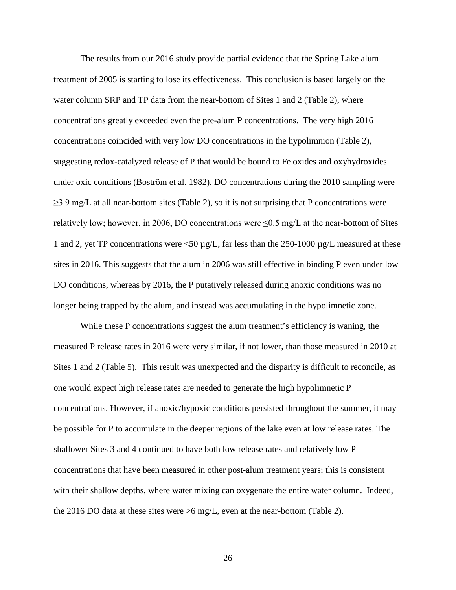The results from our 2016 study provide partial evidence that the Spring Lake alum treatment of 2005 is starting to lose its effectiveness. This conclusion is based largely on the water column SRP and TP data from the near-bottom of Sites 1 and 2 (Table 2), where concentrations greatly exceeded even the pre-alum P concentrations. The very high 2016 concentrations coincided with very low DO concentrations in the hypolimnion (Table 2), suggesting redox-catalyzed release of P that would be bound to Fe oxides and oxyhydroxides under oxic conditions (Boström et al. 1982). DO concentrations during the 2010 sampling were  $\geq$ 3.9 mg/L at all near-bottom sites (Table 2), so it is not surprising that P concentrations were relatively low; however, in 2006, DO concentrations were  $\leq 0.5$  mg/L at the near-bottom of Sites 1 and 2, yet TP concentrations were  $\langle 50 \mu g/L$ , far less than the 250-1000  $\mu g/L$  measured at these sites in 2016. This suggests that the alum in 2006 was still effective in binding P even under low DO conditions, whereas by 2016, the P putatively released during anoxic conditions was no longer being trapped by the alum, and instead was accumulating in the hypolimnetic zone.

While these P concentrations suggest the alum treatment's efficiency is waning, the measured P release rates in 2016 were very similar, if not lower, than those measured in 2010 at Sites 1 and 2 (Table 5). This result was unexpected and the disparity is difficult to reconcile, as one would expect high release rates are needed to generate the high hypolimnetic P concentrations. However, if anoxic/hypoxic conditions persisted throughout the summer, it may be possible for P to accumulate in the deeper regions of the lake even at low release rates. The shallower Sites 3 and 4 continued to have both low release rates and relatively low P concentrations that have been measured in other post-alum treatment years; this is consistent with their shallow depths, where water mixing can oxygenate the entire water column. Indeed, the 2016 DO data at these sites were  $>6$  mg/L, even at the near-bottom (Table 2).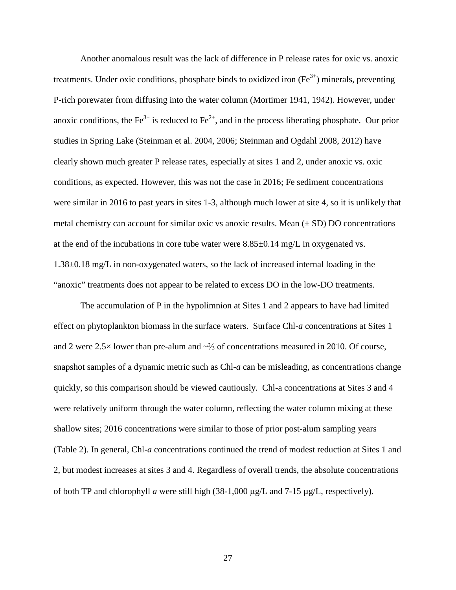Another anomalous result was the lack of difference in P release rates for oxic vs. anoxic treatments. Under oxic conditions, phosphate binds to oxidized iron  $(Fe^{3+})$  minerals, preventing P-rich porewater from diffusing into the water column (Mortimer 1941, 1942). However, under anoxic conditions, the  $Fe^{3+}$  is reduced to  $Fe^{2+}$ , and in the process liberating phosphate. Our prior studies in Spring Lake (Steinman et al. 2004, 2006; Steinman and Ogdahl 2008, 2012) have clearly shown much greater P release rates, especially at sites 1 and 2, under anoxic vs. oxic conditions, as expected. However, this was not the case in 2016; Fe sediment concentrations were similar in 2016 to past years in sites 1-3, although much lower at site 4, so it is unlikely that metal chemistry can account for similar oxic vs anoxic results. Mean  $(\pm SD)$  DO concentrations at the end of the incubations in core tube water were  $8.85\pm0.14$  mg/L in oxygenated vs. 1.38±0.18 mg/L in non-oxygenated waters, so the lack of increased internal loading in the "anoxic" treatments does not appear to be related to excess DO in the low-DO treatments.

The accumulation of P in the hypolimnion at Sites 1 and 2 appears to have had limited effect on phytoplankton biomass in the surface waters. Surface Chl-*a* concentrations at Sites 1 and 2 were 2.5× lower than pre-alum and ~⅔ of concentrations measured in 2010. Of course, snapshot samples of a dynamic metric such as Chl-*a* can be misleading, as concentrations change quickly, so this comparison should be viewed cautiously. Chl-a concentrations at Sites 3 and 4 were relatively uniform through the water column, reflecting the water column mixing at these shallow sites; 2016 concentrations were similar to those of prior post-alum sampling years (Table 2). In general, Chl-*a* concentrations continued the trend of modest reduction at Sites 1 and 2, but modest increases at sites 3 and 4. Regardless of overall trends, the absolute concentrations of both TP and chlorophyll *a* were still high (38-1,000 µg/L and 7-15 µg/L, respectively).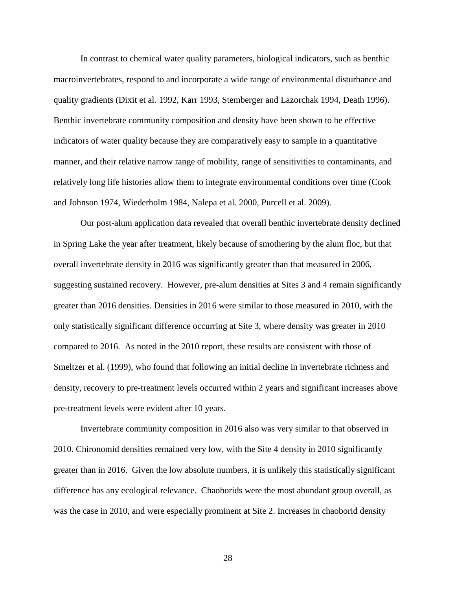In contrast to chemical water quality parameters, biological indicators, such as benthic macroinvertebrates, respond to and incorporate a wide range of environmental disturbance and quality gradients (Dixit et al. 1992, Karr 1993, Stemberger and Lazorchak 1994, Death 1996). Benthic invertebrate community composition and density have been shown to be effective indicators of water quality because they are comparatively easy to sample in a quantitative manner, and their relative narrow range of mobility, range of sensitivities to contaminants, and relatively long life histories allow them to integrate environmental conditions over time (Cook and Johnson 1974, Wiederholm 1984, Nalepa et al. 2000, Purcell et al. 2009).

Our post-alum application data revealed that overall benthic invertebrate density declined in Spring Lake the year after treatment, likely because of smothering by the alum floc, but that overall invertebrate density in 2016 was significantly greater than that measured in 2006, suggesting sustained recovery. However, pre-alum densities at Sites 3 and 4 remain significantly greater than 2016 densities. Densities in 2016 were similar to those measured in 2010, with the only statistically significant difference occurring at Site 3, where density was greater in 2010 compared to 2016. As noted in the 2010 report, these results are consistent with those of Smeltzer et al. (1999), who found that following an initial decline in invertebrate richness and density, recovery to pre-treatment levels occurred within 2 years and significant increases above pre-treatment levels were evident after 10 years.

Invertebrate community composition in 2016 also was very similar to that observed in 2010. Chironomid densities remained very low, with the Site 4 density in 2010 significantly greater than in 2016. Given the low absolute numbers, it is unlikely this statistically significant difference has any ecological relevance. Chaoborids were the most abundant group overall, as was the case in 2010, and were especially prominent at Site 2. Increases in chaoborid density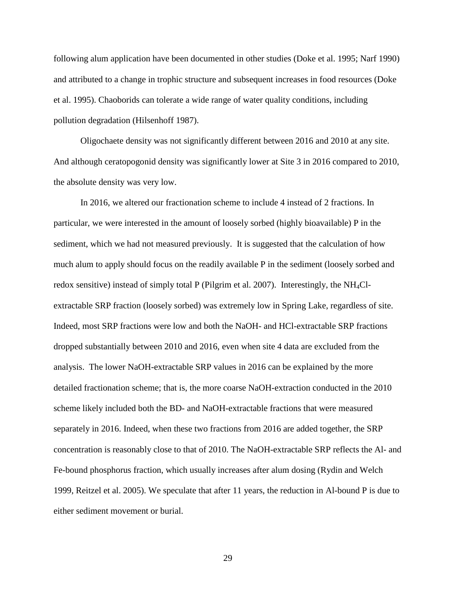following alum application have been documented in other studies (Doke et al. 1995; Narf 1990) and attributed to a change in trophic structure and subsequent increases in food resources (Doke et al. 1995). Chaoborids can tolerate a wide range of water quality conditions, including pollution degradation (Hilsenhoff 1987).

Oligochaete density was not significantly different between 2016 and 2010 at any site. And although ceratopogonid density was significantly lower at Site 3 in 2016 compared to 2010, the absolute density was very low.

In 2016, we altered our fractionation scheme to include 4 instead of 2 fractions. In particular, we were interested in the amount of loosely sorbed (highly bioavailable) P in the sediment, which we had not measured previously. It is suggested that the calculation of how much alum to apply should focus on the readily available P in the sediment (loosely sorbed and redox sensitive) instead of simply total P (Pilgrim et al. 2007). Interestingly, the  $NH<sub>4</sub>Cl$ extractable SRP fraction (loosely sorbed) was extremely low in Spring Lake, regardless of site. Indeed, most SRP fractions were low and both the NaOH- and HCl-extractable SRP fractions dropped substantially between 2010 and 2016, even when site 4 data are excluded from the analysis. The lower NaOH-extractable SRP values in 2016 can be explained by the more detailed fractionation scheme; that is, the more coarse NaOH-extraction conducted in the 2010 scheme likely included both the BD- and NaOH-extractable fractions that were measured separately in 2016. Indeed, when these two fractions from 2016 are added together, the SRP concentration is reasonably close to that of 2010. The NaOH-extractable SRP reflects the Al- and Fe-bound phosphorus fraction, which usually increases after alum dosing (Rydin and Welch 1999, Reitzel et al. 2005). We speculate that after 11 years, the reduction in Al-bound P is due to either sediment movement or burial.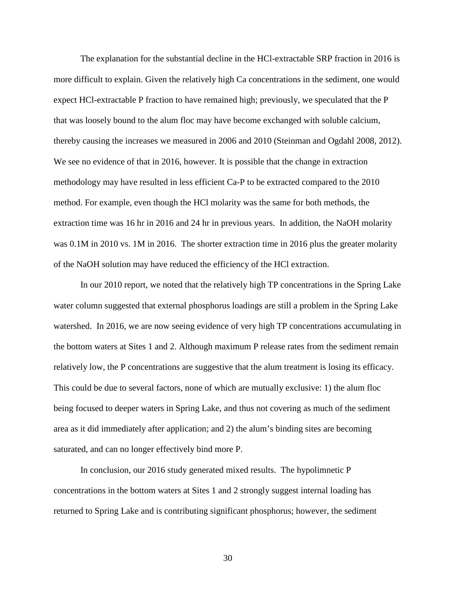The explanation for the substantial decline in the HCl-extractable SRP fraction in 2016 is more difficult to explain. Given the relatively high Ca concentrations in the sediment, one would expect HCl-extractable P fraction to have remained high; previously, we speculated that the P that was loosely bound to the alum floc may have become exchanged with soluble calcium, thereby causing the increases we measured in 2006 and 2010 (Steinman and Ogdahl 2008, 2012). We see no evidence of that in 2016, however. It is possible that the change in extraction methodology may have resulted in less efficient Ca-P to be extracted compared to the 2010 method. For example, even though the HCl molarity was the same for both methods, the extraction time was 16 hr in 2016 and 24 hr in previous years. In addition, the NaOH molarity was 0.1M in 2010 vs. 1M in 2016. The shorter extraction time in 2016 plus the greater molarity of the NaOH solution may have reduced the efficiency of the HCl extraction.

In our 2010 report, we noted that the relatively high TP concentrations in the Spring Lake water column suggested that external phosphorus loadings are still a problem in the Spring Lake watershed. In 2016, we are now seeing evidence of very high TP concentrations accumulating in the bottom waters at Sites 1 and 2. Although maximum P release rates from the sediment remain relatively low, the P concentrations are suggestive that the alum treatment is losing its efficacy. This could be due to several factors, none of which are mutually exclusive: 1) the alum floc being focused to deeper waters in Spring Lake, and thus not covering as much of the sediment area as it did immediately after application; and 2) the alum's binding sites are becoming saturated, and can no longer effectively bind more P.

In conclusion, our 2016 study generated mixed results. The hypolimnetic P concentrations in the bottom waters at Sites 1 and 2 strongly suggest internal loading has returned to Spring Lake and is contributing significant phosphorus; however, the sediment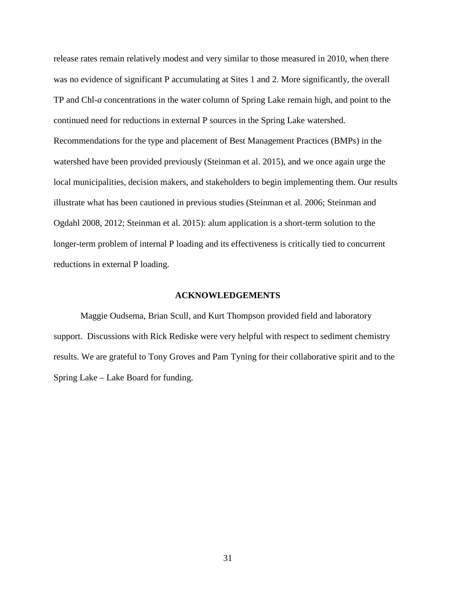release rates remain relatively modest and very similar to those measured in 2010, when there was no evidence of significant P accumulating at Sites 1 and 2. More significantly, the overall TP and Chl-*a* concentrations in the water column of Spring Lake remain high, and point to the continued need for reductions in external P sources in the Spring Lake watershed. Recommendations for the type and placement of Best Management Practices (BMPs) in the watershed have been provided previously (Steinman et al. 2015), and we once again urge the local municipalities, decision makers, and stakeholders to begin implementing them. Our results illustrate what has been cautioned in previous studies (Steinman et al. 2006; Steinman and Ogdahl 2008, 2012; Steinman et al. 2015): alum application is a short-term solution to the longer-term problem of internal P loading and its effectiveness is critically tied to concurrent reductions in external P loading.

## **ACKNOWLEDGEMENTS**

Maggie Oudsema, Brian Scull, and Kurt Thompson provided field and laboratory support. Discussions with Rick Rediske were very helpful with respect to sediment chemistry results. We are grateful to Tony Groves and Pam Tyning for their collaborative spirit and to the Spring Lake – Lake Board for funding.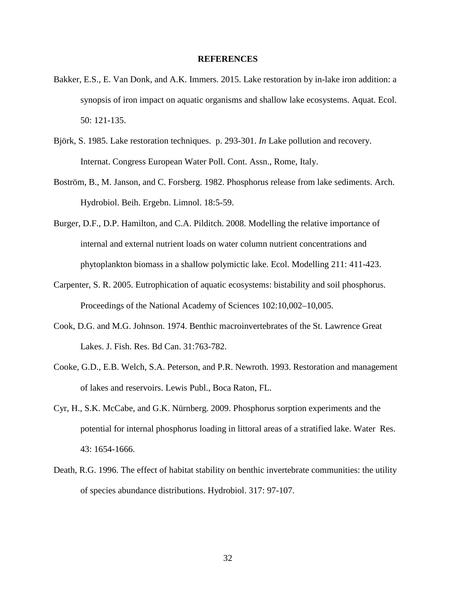#### **REFERENCES**

- Bakker, E.S., E. Van Donk, and A.K. Immers. 2015. Lake restoration by in-lake iron addition: a synopsis of iron impact on aquatic organisms and shallow lake ecosystems. Aquat. Ecol. 50: 121-135.
- Björk, S. 1985. Lake restoration techniques. p. 293-301. *In* Lake pollution and recovery. Internat. Congress European Water Poll. Cont. Assn., Rome, Italy.
- Boström, B., M. Janson, and C. Forsberg. 1982. Phosphorus release from lake sediments. Arch. Hydrobiol. Beih. Ergebn. Limnol. 18:5-59.
- Burger, D.F., D.P. Hamilton, and C.A. Pilditch. 2008. Modelling the relative importance of internal and external nutrient loads on water column nutrient concentrations and phytoplankton biomass in a shallow polymictic lake. Ecol. Modelling 211: 411-423.
- Carpenter, S. R. 2005. Eutrophication of aquatic ecosystems: bistability and soil phosphorus. Proceedings of the National Academy of Sciences 102:10,002–10,005.
- Cook, D.G. and M.G. Johnson. 1974. Benthic macroinvertebrates of the St. Lawrence Great Lakes. J. Fish. Res. Bd Can. 31:763-782.
- Cooke, G.D., E.B. Welch, S.A. Peterson, and P.R. Newroth. 1993. Restoration and management of lakes and reservoirs. Lewis Publ., Boca Raton, FL.
- Cyr, H., S.K. McCabe, and G.K. Nürnberg. 2009. Phosphorus sorption experiments and the potential for internal phosphorus loading in littoral areas of a stratified lake. Water Res. 43: 1654-1666.
- Death, R.G. 1996. The effect of habitat stability on benthic invertebrate communities: the utility of species abundance distributions. Hydrobiol. 317: 97-107.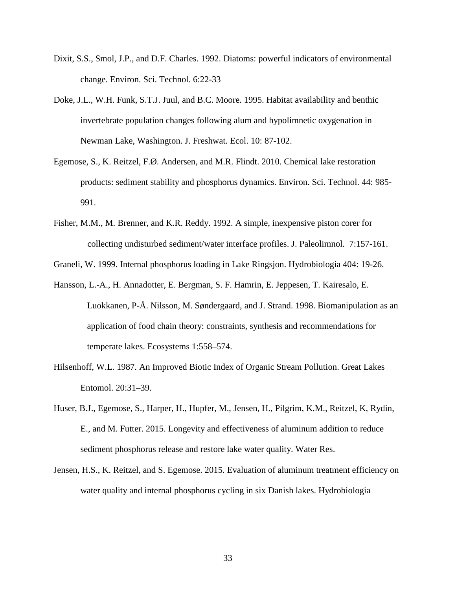- Dixit, S.S., Smol, J.P., and D.F. Charles. 1992. Diatoms: powerful indicators of environmental change. Environ. Sci. Technol. 6:22-33
- Doke, J.L., W.H. Funk, S.T.J. Juul, and B.C. Moore. 1995. Habitat availability and benthic invertebrate population changes following alum and hypolimnetic oxygenation in Newman Lake, Washington. J. Freshwat. Ecol. 10: 87-102.
- Egemose, S., K. Reitzel, F.Ø. Andersen, and M.R. Flindt. 2010. Chemical lake restoration products: sediment stability and phosphorus dynamics. Environ. Sci. Technol. 44: 985- 991.
- Fisher, M.M., M. Brenner, and K.R. Reddy. 1992. A simple, inexpensive piston corer for collecting undisturbed sediment/water interface profiles. J. Paleolimnol. 7:157-161.

Graneli, W. 1999. Internal phosphorus loading in Lake Ringsjon. Hydrobiologia 404: 19-26.

- Hansson, L.-A., H. Annadotter, E. Bergman, S. F. Hamrin, E. Jeppesen, T. Kairesalo, E. Luokkanen, P-Å. Nilsson, M. Søndergaard, and J. Strand. 1998. Biomanipulation as an application of food chain theory: constraints, synthesis and recommendations for temperate lakes. Ecosystems 1:558–574.
- Hilsenhoff, W.L. 1987. An Improved Biotic Index of Organic Stream Pollution. Great Lakes Entomol. 20:31–39.
- Huser, B.J., Egemose, S., Harper, H., Hupfer, M., Jensen, H., Pilgrim, K.M., Reitzel, K, Rydin, E., and M. Futter. 2015. Longevity and effectiveness of aluminum addition to reduce sediment phosphorus release and restore lake water quality. Water Res.
- Jensen, H.S., K. Reitzel, and S. Egemose. 2015. Evaluation of aluminum treatment efficiency on water quality and internal phosphorus cycling in six Danish lakes. Hydrobiologia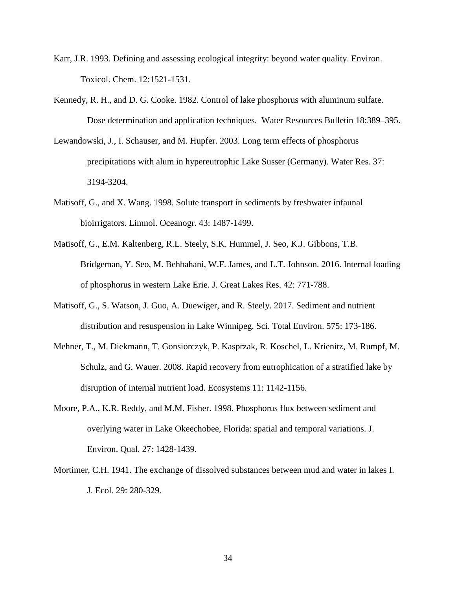- Karr, J.R. 1993. Defining and assessing ecological integrity: beyond water quality. Environ. Toxicol. Chem. 12:1521-1531.
- Kennedy, R. H., and D. G. Cooke. 1982. Control of lake phosphorus with aluminum sulfate. Dose determination and application techniques. Water Resources Bulletin 18:389–395.
- Lewandowski, J., I. Schauser, and M. Hupfer. 2003. Long term effects of phosphorus precipitations with alum in hypereutrophic Lake Susser (Germany). Water Res. 37: 3194-3204.
- Matisoff, G., and X. Wang. 1998. Solute transport in sediments by freshwater infaunal bioirrigators. Limnol. Oceanogr. 43: 1487-1499.
- Matisoff, G., E.M. Kaltenberg, R.L. Steely, S.K. Hummel, J. Seo, K.J. Gibbons, T.B. Bridgeman, Y. Seo, M. Behbahani, W.F. James, and L.T. Johnson. 2016. Internal loading of phosphorus in western Lake Erie. J. Great Lakes Res. 42: 771-788.
- Matisoff, G., S. Watson, J. Guo, A. Duewiger, and R. Steely. 2017. Sediment and nutrient distribution and resuspension in Lake Winnipeg. Sci. Total Environ. 575: 173-186.
- Mehner, T., M. Diekmann, T. Gonsiorczyk, P. Kasprzak, R. Koschel, L. Krienitz, M. Rumpf, M. Schulz, and G. Wauer. 2008. Rapid recovery from eutrophication of a stratified lake by disruption of internal nutrient load. Ecosystems 11: 1142-1156.
- Moore, P.A., K.R. Reddy, and M.M. Fisher. 1998. Phosphorus flux between sediment and overlying water in Lake Okeechobee, Florida: spatial and temporal variations. J. Environ. Qual. 27: 1428-1439.
- Mortimer, C.H. 1941. The exchange of dissolved substances between mud and water in lakes I. J. Ecol. 29: 280-329.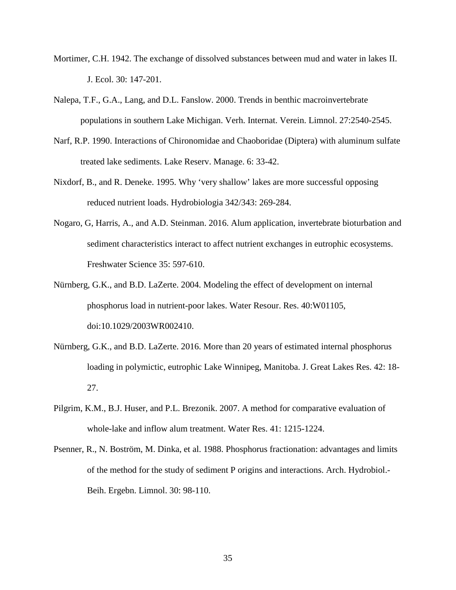- Mortimer, C.H. 1942. The exchange of dissolved substances between mud and water in lakes II. J. Ecol. 30: 147-201.
- Nalepa, T.F., G.A., Lang, and D.L. Fanslow. 2000. Trends in benthic macroinvertebrate populations in southern Lake Michigan. Verh. Internat. Verein. Limnol. 27:2540-2545.
- Narf, R.P. 1990. Interactions of Chironomidae and Chaoboridae (Diptera) with aluminum sulfate treated lake sediments. Lake Reserv. Manage. 6: 33-42.
- Nixdorf, B., and R. Deneke. 1995. Why 'very shallow' lakes are more successful opposing reduced nutrient loads. Hydrobiologia 342/343: 269-284.
- Nogaro, G, Harris, A., and A.D. Steinman. 2016. Alum application, invertebrate bioturbation and sediment characteristics interact to affect nutrient exchanges in eutrophic ecosystems. Freshwater Science 35: 597-610.
- Nürnberg, G.K., and B.D. LaZerte. 2004. Modeling the effect of development on internal phosphorus load in nutrient-poor lakes. Water Resour. Res. 40:W01105, doi:10.1029/2003WR002410.
- Nürnberg, G.K., and B.D. LaZerte. 2016. More than 20 years of estimated internal phosphorus loading in polymictic, eutrophic Lake Winnipeg, Manitoba. J. Great Lakes Res. 42: 18- 27.
- Pilgrim, K.M., B.J. Huser, and P.L. Brezonik. 2007. A method for comparative evaluation of whole-lake and inflow alum treatment. Water Res. 41: 1215-1224.
- Psenner, R., N. Boström, M. Dinka, et al. 1988. Phosphorus fractionation: advantages and limits of the method for the study of sediment P origins and interactions. Arch. Hydrobiol.- Beih. Ergebn. Limnol. 30: 98-110.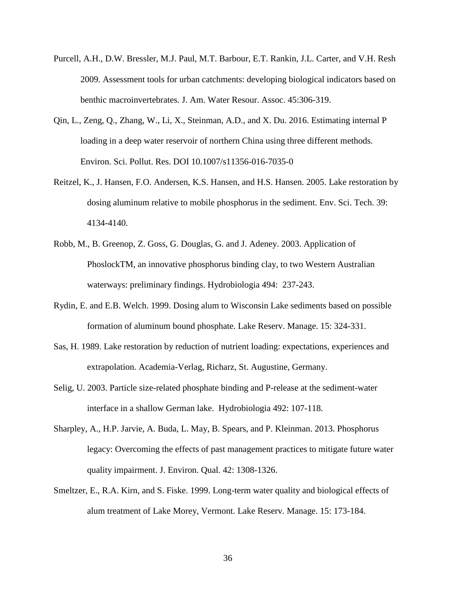- Purcell, A.H., D.W. Bressler, M.J. Paul, M.T. Barbour, E.T. Rankin, J.L. Carter, and V.H. Resh 2009. Assessment tools for urban catchments: developing biological indicators based on benthic macroinvertebrates. J. Am. Water Resour. Assoc. 45:306-319.
- Qin, L., Zeng, Q., Zhang, W., Li, X., Steinman, A.D., and X. Du. 2016. Estimating internal P loading in a deep water reservoir of northern China using three different methods. Environ. Sci. Pollut. Res. DOI 10.1007/s11356-016-7035-0
- Reitzel, K., J. Hansen, F.O. Andersen, K.S. Hansen, and H.S. Hansen. 2005. Lake restoration by dosing aluminum relative to mobile phosphorus in the sediment. Env. Sci. Tech. 39: 4134-4140.
- Robb, M., B. Greenop, Z. Goss, G. Douglas, G. and J. Adeney. 2003. Application of PhoslockTM, an innovative phosphorus binding clay, to two Western Australian waterways: preliminary findings. Hydrobiologia 494: 237-243.
- Rydin, E. and E.B. Welch. 1999. Dosing alum to Wisconsin Lake sediments based on possible formation of aluminum bound phosphate. Lake Reserv. Manage. 15: 324-331.
- Sas, H. 1989. Lake restoration by reduction of nutrient loading: expectations, experiences and extrapolation. Academia-Verlag, Richarz, St. Augustine, Germany.
- Selig, U. 2003. Particle size-related phosphate binding and P-release at the sediment-water interface in a shallow German lake. Hydrobiologia 492: 107-118.
- Sharpley, A., H.P. Jarvie, A. Buda, L. May, B. Spears, and P. Kleinman. 2013. Phosphorus legacy: Overcoming the effects of past management practices to mitigate future water quality impairment. J. Environ. Qual. 42: 1308-1326.
- Smeltzer, E., R.A. Kirn, and S. Fiske. 1999. Long-term water quality and biological effects of alum treatment of Lake Morey, Vermont. Lake Reserv. Manage. 15: 173-184.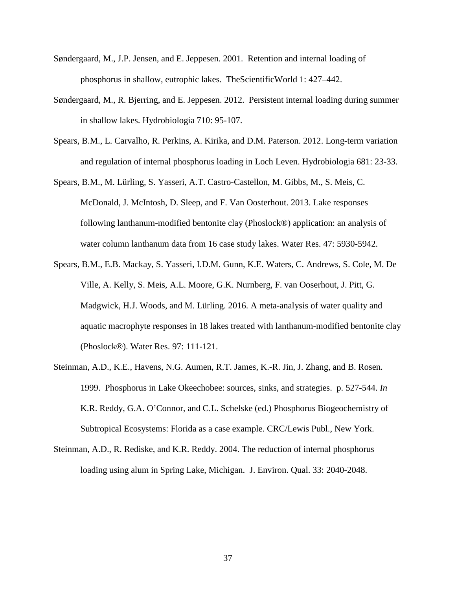- Søndergaard, M., J.P. Jensen, and E. Jeppesen. 2001. Retention and internal loading of phosphorus in shallow, eutrophic lakes. TheScientificWorld 1: 427–442.
- Søndergaard, M., R. Bjerring, and E. Jeppesen. 2012. Persistent internal loading during summer in shallow lakes. Hydrobiologia 710: 95-107.
- Spears, B.M., L. Carvalho, R. Perkins, A. Kirika, and D.M. Paterson. 2012. Long-term variation and regulation of internal phosphorus loading in Loch Leven. Hydrobiologia 681: 23-33.
- Spears, B.M., M. Lürling, S. Yasseri, A.T. Castro-Castellon, M. Gibbs, M., S. Meis, C. McDonald, J. McIntosh, D. Sleep, and F. Van Oosterhout. 2013. Lake responses following lanthanum-modified bentonite clay (Phoslock®) application: an analysis of water column lanthanum data from 16 case study lakes. Water Res. 47: 5930-5942.
- Spears, B.M., E.B. Mackay, S. Yasseri, I.D.M. Gunn, K.E. Waters, C. Andrews, S. Cole, M. De Ville, A. Kelly, S. Meis, A.L. Moore, G.K. Nurnberg, F. van Ooserhout, J. Pitt, G. Madgwick, H.J. Woods, and M. Lürling. 2016. A meta-analysis of water quality and aquatic macrophyte responses in 18 lakes treated with lanthanum-modified bentonite clay (Phoslock®). Water Res. 97: 111-121.
- Steinman, A.D., K.E., Havens, N.G. Aumen, R.T. James, K.-R. Jin, J. Zhang, and B. Rosen. 1999. Phosphorus in Lake Okeechobee: sources, sinks, and strategies. p. 527-544. *In* K.R. Reddy, G.A. O'Connor, and C.L. Schelske (ed.) Phosphorus Biogeochemistry of Subtropical Ecosystems: Florida as a case example. CRC/Lewis Publ., New York.
- Steinman, A.D., R. Rediske, and K.R. Reddy. 2004. The reduction of internal phosphorus loading using alum in Spring Lake, Michigan. J. Environ. Qual. 33: 2040-2048.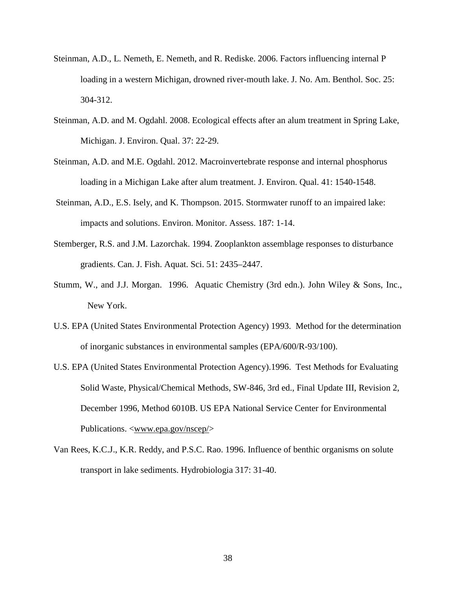- Steinman, A.D., L. Nemeth, E. Nemeth, and R. Rediske. 2006. Factors influencing internal P loading in a western Michigan, drowned river-mouth lake. J. No. Am. Benthol. Soc. 25: 304-312.
- Steinman, A.D. and M. Ogdahl. 2008. Ecological effects after an alum treatment in Spring Lake, Michigan. J. Environ. Qual. 37: 22-29.
- Steinman, A.D. and M.E. Ogdahl. 2012. Macroinvertebrate response and internal phosphorus loading in a Michigan Lake after alum treatment. J. Environ. Qual. 41: 1540-1548.
- Steinman, A.D., E.S. Isely, and K. Thompson. 2015. Stormwater runoff to an impaired lake: impacts and solutions. Environ. Monitor. Assess. 187: 1-14.
- Stemberger, R.S. and J.M. Lazorchak. 1994. Zooplankton assemblage responses to disturbance gradients. Can. J. Fish. Aquat. Sci. 51: 2435–2447.
- Stumm, W., and J.J. Morgan. 1996. Aquatic Chemistry (3rd edn.). John Wiley & Sons, Inc., New York.
- U.S. EPA (United States Environmental Protection Agency) 1993. Method for the determination of inorganic substances in environmental samples (EPA/600/R-93/100).
- U.S. EPA (United States Environmental Protection Agency).1996. Test Methods for Evaluating Solid Waste, Physical/Chemical Methods, SW-846, 3rd ed., Final Update III, Revision 2, December 1996, Method 6010B. US EPA National Service Center for Environmental Publications. <www.epa.gov/nscep/>
- Van Rees, K.C.J., K.R. Reddy, and P.S.C. Rao. 1996. Influence of benthic organisms on solute transport in lake sediments. Hydrobiologia 317: 31-40.